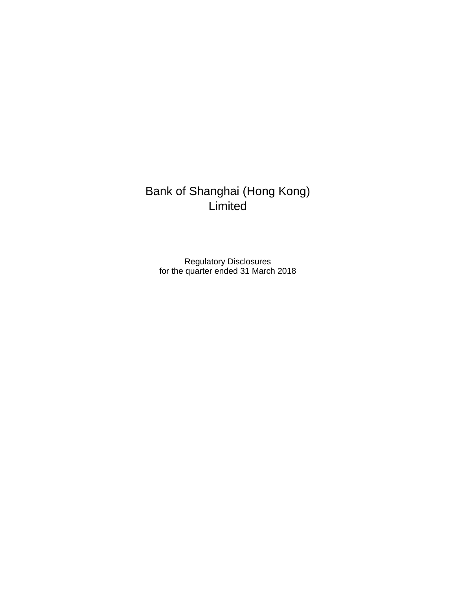## Bank of Shanghai (Hong Kong) **Limited**

Regulatory Disclosures for the quarter ended 31 March 2018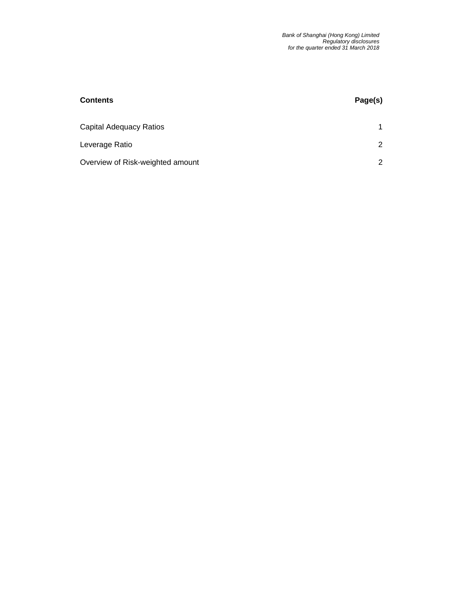| <b>Contents</b>                  | Page(s)               |
|----------------------------------|-----------------------|
| Capital Adequacy Ratios          |                       |
| Leverage Ratio                   | $\mathbf{2}^{\prime}$ |
| Overview of Risk-weighted amount | 2                     |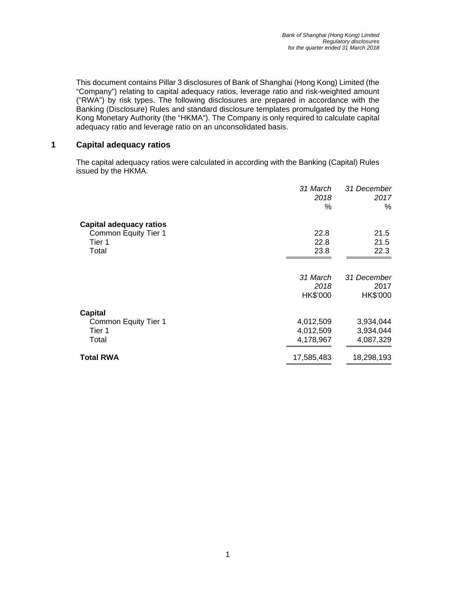This document contains Pillar 3 disclosures of Bank of Shanghai (Hong Kong) Limited (the "Company") relating to capital adequacy ratios, leverage ratio and risk-weighted amount ("RWA") by risk types. The following disclosures are prepared in accordance with the Banking (Disclosure) Rules and standard disclosure templates promulgated by the Hong Kong Monetary Authority (the "HKMA"). The Company is only required to calculate capital adequacy ratio and leverage ratio on an unconsolidated basis.

## **1 Capital adequacy ratios**

The capital adequacy ratios were calculated in according with the Banking (Capital) Rules issued by the HKMA.

|                                | 31 March<br>2018 | 31 December<br>2017 |
|--------------------------------|------------------|---------------------|
|                                | %                | %                   |
| <b>Capital adequacy ratios</b> |                  |                     |
| Common Equity Tier 1           | 22.8             | 21.5                |
| Tier 1                         | 22.8             | 21.5                |
| Total                          | 23.8             | 22.3                |
|                                | 31 March         | 31 December         |
|                                | 2018<br>HK\$'000 | 2017<br>HK\$'000    |
|                                |                  |                     |
| <b>Capital</b>                 |                  |                     |
| Common Equity Tier 1           | 4,012,509        | 3,934,044           |
| Tier 1                         | 4,012,509        | 3,934,044           |
| Total                          | 4,178,967        | 4,087,329           |
| <b>Total RWA</b>               | 17,585,483       | 18,298,193          |
|                                |                  |                     |